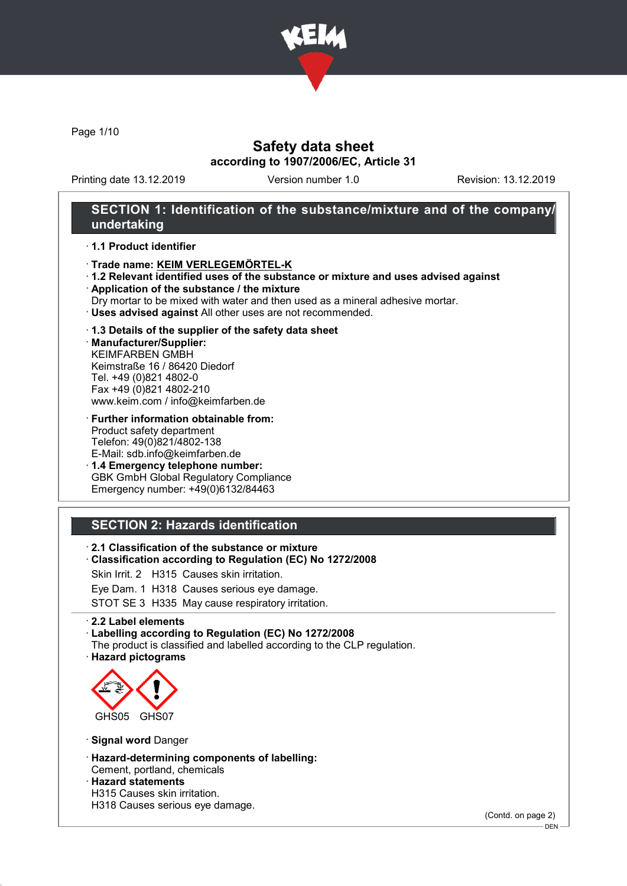

Page 1/10

## Safety data sheet according to 1907/2006/EC, Article 31

Printing date 13.12.2019 Version number 1.0 Revision: 13.12.2019

## SECTION 1: Identification of the substance/mixture and of the company/ undertaking

#### · 1.1 Product identifier

- · Trade name: KEIM VERLEGEMÖRTEL-K
- · 1.2 Relevant identified uses of the substance or mixture and uses advised against
- · Application of the substance / the mixture
- Dry mortar to be mixed with water and then used as a mineral adhesive mortar.
- · Uses advised against All other uses are not recommended.

#### · 1.3 Details of the supplier of the safety data sheet

· Manufacturer/Supplier: KEIMFARBEN GMBH Keimstraße 16 / 86420 Diedorf Tel. +49 (0)821 4802-0 Fax +49 (0)821 4802-210 www.keim.com / info@keimfarben.de

· Further information obtainable from: Product safety department Telefon: 49(0)821/4802-138 E-Mail: sdb.info@keimfarben.de

· 1.4 Emergency telephone number: GBK GmbH Global Regulatory Compliance Emergency number: +49(0)6132/84463

# SECTION 2: Hazards identification

· 2.1 Classification of the substance or mixture

· Classification according to Regulation (EC) No 1272/2008

Skin Irrit. 2 H315 Causes skin irritation.

Eye Dam. 1 H318 Causes serious eye damage.

STOT SE 3 H335 May cause respiratory irritation.

#### · 2.2 Label elements

· Labelling according to Regulation (EC) No 1272/2008

The product is classified and labelled according to the CLP regulation.

· Hazard pictograms



· Signal word Danger

- · Hazard-determining components of labelling: Cement, portland, chemicals
- · Hazard statements
- H315 Causes skin irritation.
- H318 Causes serious eye damage.

(Contd. on page 2)

<sup>-</sup> DEN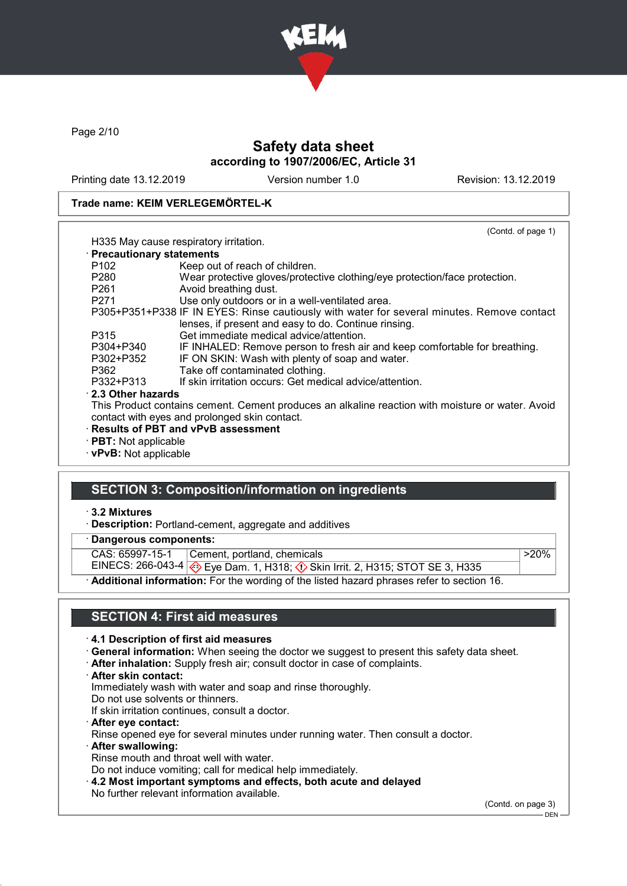

Page 2/10

# Safety data sheet according to 1907/2006/EC, Article 31

Printing date 13.12.2019 Version number 1.0 Revision: 13.12.2019

#### Trade name: KEIM VERLEGEMÖRTEL-K

|                             | (Contd. of page 1)                                                                                                                                 |
|-----------------------------|----------------------------------------------------------------------------------------------------------------------------------------------------|
|                             | H335 May cause respiratory irritation.                                                                                                             |
| · Precautionary statements  |                                                                                                                                                    |
| P102                        | Keep out of reach of children.                                                                                                                     |
| P280                        | Wear protective gloves/protective clothing/eye protection/face protection.                                                                         |
| P <sub>261</sub>            | Avoid breathing dust.                                                                                                                              |
| P271                        | Use only outdoors or in a well-ventilated area.                                                                                                    |
|                             | P305+P351+P338 IF IN EYES: Rinse cautiously with water for several minutes. Remove contact<br>lenses, if present and easy to do. Continue rinsing. |
| P315                        | Get immediate medical advice/attention.                                                                                                            |
| P304+P340                   | IF INHALED: Remove person to fresh air and keep comfortable for breathing.                                                                         |
| P302+P352                   | IF ON SKIN: Wash with plenty of soap and water.                                                                                                    |
| P362                        | Take off contaminated clothing.                                                                                                                    |
| P332+P313                   | If skin irritation occurs: Get medical advice/attention.                                                                                           |
| 2.3 Other hazards           |                                                                                                                                                    |
|                             | This Product contains cement. Cement produces an alkaline reaction with moisture or water. Avoid                                                   |
|                             | contact with eyes and prolonged skin contact.                                                                                                      |
|                             | · Results of PBT and vPvB assessment                                                                                                               |
| $\cdot$ PBT: Not applicable |                                                                                                                                                    |
| · vPvB: Not applicable      |                                                                                                                                                    |

### SECTION 3: Composition/information on ingredients

### · 3.2 Mixtures

· Description: Portland-cement, aggregate and additives

Dangerous components:

CAS: 65997-15-1 Cement, portland, chemicals  $>20\%$ 

EINECS: 266-043-4 <mark>◈</mark> Eye Dam. 1, H318; ♦ Skin Irrit. 2, H315; STOT SE 3, H335 Additional information: For the wording of the listed hazard phrases refer to section 16.

### SECTION 4: First aid measures

### · 4.1 Description of first aid measures

- · General information: When seeing the doctor we suggest to present this safety data sheet.
- · After inhalation: Supply fresh air; consult doctor in case of complaints.
- · After skin contact:

Immediately wash with water and soap and rinse thoroughly.

Do not use solvents or thinners.

- If skin irritation continues, consult a doctor.
- · After eye contact: Rinse opened eye for several minutes under running water. Then consult a doctor.
- · After swallowing:
- Rinse mouth and throat well with water.

Do not induce vomiting; call for medical help immediately.

· 4.2 Most important symptoms and effects, both acute and delayed No further relevant information available.

(Contd. on page 3)

 $-$  DEN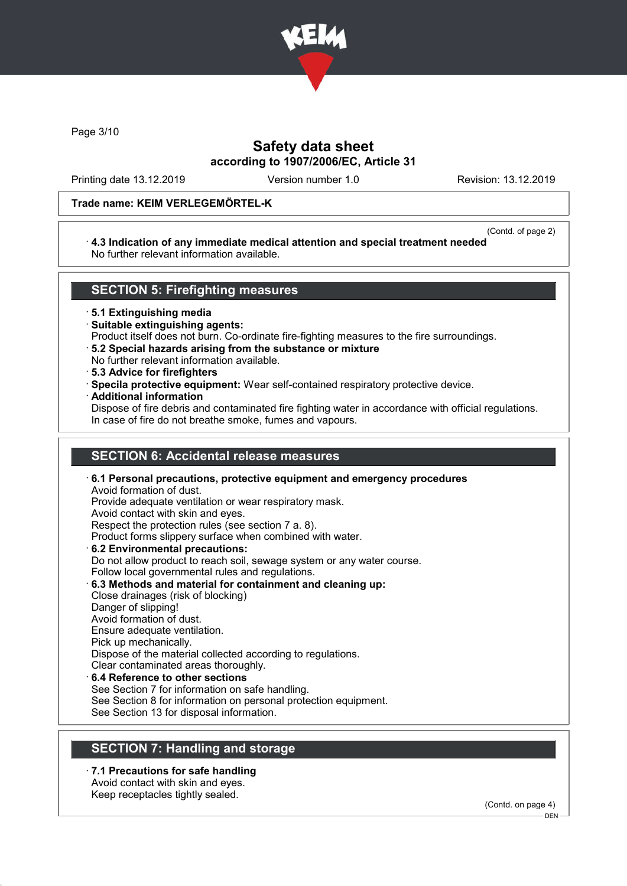

Page 3/10

# Safety data sheet according to 1907/2006/EC, Article 31

Printing date 13.12.2019 Version number 1.0 Revision: 13.12.2019

### Trade name: KEIM VERLEGEMÖRTEL-K

(Contd. of page 2)

#### · 4.3 Indication of any immediate medical attention and special treatment needed No further relevant information available.

### SECTION 5: Firefighting measures

· 5.1 Extinguishing media

- · Suitable extinguishing agents:
- Product itself does not burn. Co-ordinate fire-fighting measures to the fire surroundings.
- · 5.2 Special hazards arising from the substance or mixture
- No further relevant information available.
- · 5.3 Advice for firefighters
- · Specila protective equipment: Wear self-contained respiratory protective device.
- · Additional information

Dispose of fire debris and contaminated fire fighting water in accordance with official regulations. In case of fire do not breathe smoke, fumes and vapours.

### SECTION 6: Accidental release measures

· 6.1 Personal precautions, protective equipment and emergency procedures Avoid formation of dust. Provide adequate ventilation or wear respiratory mask. Avoid contact with skin and eyes. Respect the protection rules (see section 7 a. 8). Product forms slippery surface when combined with water. · 6.2 Environmental precautions: Do not allow product to reach soil, sewage system or any water course. Follow local governmental rules and regulations. · 6.3 Methods and material for containment and cleaning up: Close drainages (risk of blocking) Danger of slipping! Avoid formation of dust. Ensure adequate ventilation. Pick up mechanically. Dispose of the material collected according to regulations. Clear contaminated areas thoroughly. 6.4 Reference to other sections See Section 7 for information on safe handling. See Section 8 for information on personal protection equipment. See Section 13 for disposal information.

### SECTION 7: Handling and storage

· 7.1 Precautions for safe handling Avoid contact with skin and eyes. Keep receptacles tightly sealed.

(Contd. on page 4)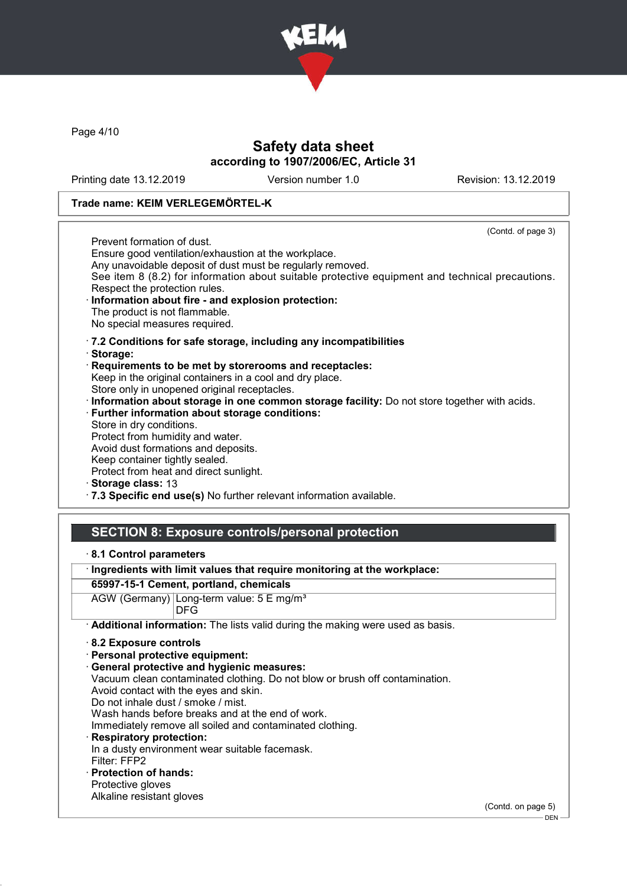

Page 4/10

## Safety data sheet according to 1907/2006/EC, Article 31

Printing date 13.12.2019 Version number 1.0 Revision: 13.12.2019

### Trade name: KEIM VERLEGEMÖRTEL-K

(Contd. of page 3) Prevent formation of dust. Ensure good ventilation/exhaustion at the workplace. Any unavoidable deposit of dust must be regularly removed. See item 8 (8.2) for information about suitable protective equipment and technical precautions. Respect the protection rules. Information about fire - and explosion protection: The product is not flammable. No special measures required. · 7.2 Conditions for safe storage, including any incompatibilities · Storage: · Requirements to be met by storerooms and receptacles: Keep in the original containers in a cool and dry place. Store only in unopened original receptacles. · Information about storage in one common storage facility: Do not store together with acids. · Further information about storage conditions: Store in dry conditions. Protect from humidity and water. Avoid dust formations and deposits. Keep container tightly sealed. Protect from heat and direct sunlight. Storage class: 13

· 7.3 Specific end use(s) No further relevant information available.

### SECTION 8: Exposure controls/personal protection

· 8.1 Control parameters

· Ingredients with limit values that require monitoring at the workplace:

### 65997-15-1 Cement, portland, chemicals

AGW (Germany) Long-term value: 5 E mg/m<sup>3</sup> DFG

· Additional information: The lists valid during the making were used as basis.

- · Personal protective equipment:
- · General protective and hygienic measures:
- Vacuum clean contaminated clothing. Do not blow or brush off contamination.
- Avoid contact with the eyes and skin.
- Do not inhale dust / smoke / mist.
- Wash hands before breaks and at the end of work.
- Immediately remove all soiled and contaminated clothing.
- Respiratory protection: In a dusty environment wear suitable facemask. Filter: FFP2
- · Protection of hands: Protective gloves
- Alkaline resistant gloves

(Contd. on page 5)

<sup>·</sup> 8.2 Exposure controls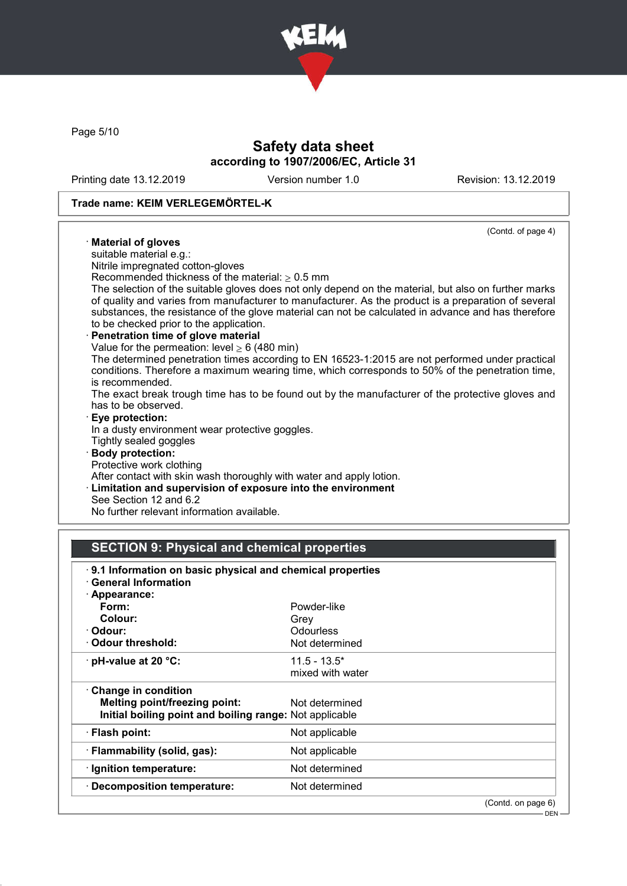

Page 5/10

# Safety data sheet according to 1907/2006/EC, Article 31

Printing date 13.12.2019 Version number 1.0 Revision: 13.12.2019

## Trade name: KEIM VERLEGEMÖRTEL-K

| (Contd. of page 4)                                                                                   |
|------------------------------------------------------------------------------------------------------|
| · Material of gloves                                                                                 |
| suitable material e.g.:                                                                              |
| Nitrile impregnated cotton-gloves                                                                    |
| Recommended thickness of the material: $\geq 0.5$ mm                                                 |
| The selection of the suitable gloves does not only depend on the material, but also on further marks |
| of quality and varies from manufacturer to manufacturer. As the product is a preparation of several  |
| substances, the resistance of the glove material can not be calculated in advance and has therefore  |
| to be checked prior to the application.                                                              |
| · Penetration time of glove material                                                                 |
| Value for the permeation: level $\geq 6$ (480 min)                                                   |
| The determined penetration times according to EN 16523-1:2015 are not performed under practical      |
| conditions. Therefore a maximum wearing time, which corresponds to 50% of the penetration time,      |
| is recommended.                                                                                      |
| The exact break trough time has to be found out by the manufacturer of the protective gloves and     |
| has to be observed.                                                                                  |
| $\cdot$ Eye protection:                                                                              |
| In a dusty environment wear protective goggles.                                                      |
| Tightly sealed goggles                                                                               |
| · Body protection:                                                                                   |
| Protective work clothing                                                                             |
| After contact with skin wash thoroughly with water and apply lotion.                                 |
| <b>Limitation and supervision of exposure into the environment</b>                                   |
| See Section 12 and 6.2                                                                               |

No further relevant information available.

# SECTION 9: Physical and chemical properties

| 9.1 Information on basic physical and chemical properties<br><b>General Information</b> |                  |                    |  |  |
|-----------------------------------------------------------------------------------------|------------------|--------------------|--|--|
| · Appearance:                                                                           |                  |                    |  |  |
| Form:                                                                                   | Powder-like      |                    |  |  |
| Colour:                                                                                 | Grev             |                    |  |  |
| · Odour:                                                                                | Odourless        |                    |  |  |
| Odour threshold:                                                                        | Not determined   |                    |  |  |
| $\cdot$ pH-value at 20 $\degree$ C:                                                     | $11.5 - 13.5^*$  |                    |  |  |
|                                                                                         | mixed with water |                    |  |  |
| $\cdot$ Change in condition                                                             |                  |                    |  |  |
| <b>Melting point/freezing point:</b>                                                    | Not determined   |                    |  |  |
| Initial boiling point and boiling range: Not applicable                                 |                  |                    |  |  |
| · Flash point:                                                                          | Not applicable   |                    |  |  |
| · Flammability (solid, gas):                                                            | Not applicable   |                    |  |  |
| · Ignition temperature:                                                                 | Not determined   |                    |  |  |
| · Decomposition temperature:                                                            | Not determined   |                    |  |  |
|                                                                                         |                  | (Contd. on page 6) |  |  |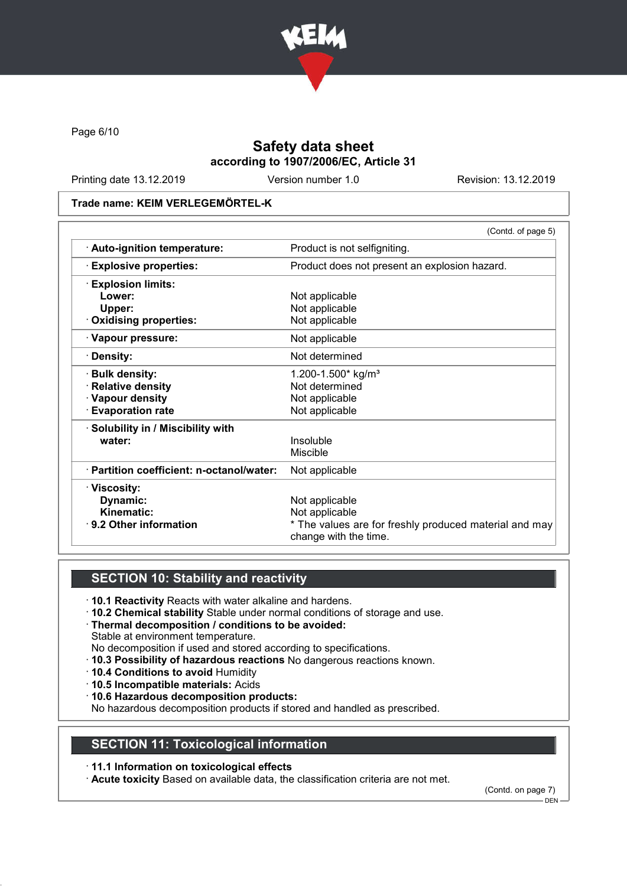

Page 6/10

# Safety data sheet according to 1907/2006/EC, Article 31

Printing date 13.12.2019 Version number 1.0 Revision: 13.12.2019

#### Trade name: KEIM VERLEGEMÖRTEL-K

|                                           | (Contd. of page 5)                                                              |  |
|-------------------------------------------|---------------------------------------------------------------------------------|--|
| · Auto-ignition temperature:              | Product is not selfigniting.                                                    |  |
| <b>Explosive properties:</b>              | Product does not present an explosion hazard.                                   |  |
| <b>Explosion limits:</b>                  |                                                                                 |  |
| Lower:                                    | Not applicable                                                                  |  |
| Upper:                                    | Not applicable                                                                  |  |
| <b>Oxidising properties:</b>              | Not applicable                                                                  |  |
| · Vapour pressure:                        | Not applicable                                                                  |  |
| · Density:                                | Not determined                                                                  |  |
| <b>Bulk density:</b>                      | 1.200-1.500* kg/m <sup>3</sup>                                                  |  |
| <b>Relative density</b>                   | Not determined                                                                  |  |
| · Vapour density                          | Not applicable                                                                  |  |
| <b>Evaporation rate</b>                   | Not applicable                                                                  |  |
| $\cdot$ Solubility in / Miscibility with  |                                                                                 |  |
| water:                                    | Insoluble                                                                       |  |
|                                           | Miscible                                                                        |  |
| · Partition coefficient: n-octanol/water: | Not applicable                                                                  |  |
| · Viscosity:                              |                                                                                 |  |
| Dynamic:                                  | Not applicable                                                                  |  |
| <b>Kinematic:</b>                         | Not applicable                                                                  |  |
| ⋅ 9.2 Other information                   | * The values are for freshly produced material and may<br>change with the time. |  |

# SECTION 10: Stability and reactivity

- · 10.1 Reactivity Reacts with water alkaline and hardens.
- · 10.2 Chemical stability Stable under normal conditions of storage and use.
- · Thermal decomposition / conditions to be avoided: Stable at environment temperature.
- No decomposition if used and stored according to specifications.
- · 10.3 Possibility of hazardous reactions No dangerous reactions known.
- · 10.4 Conditions to avoid Humidity
- · 10.5 Incompatible materials: Acids
- · 10.6 Hazardous decomposition products:

No hazardous decomposition products if stored and handled as prescribed.

## SECTION 11: Toxicological information

· 11.1 Information on toxicological effects

· Acute toxicity Based on available data, the classification criteria are not met.

(Contd. on page 7)

DEN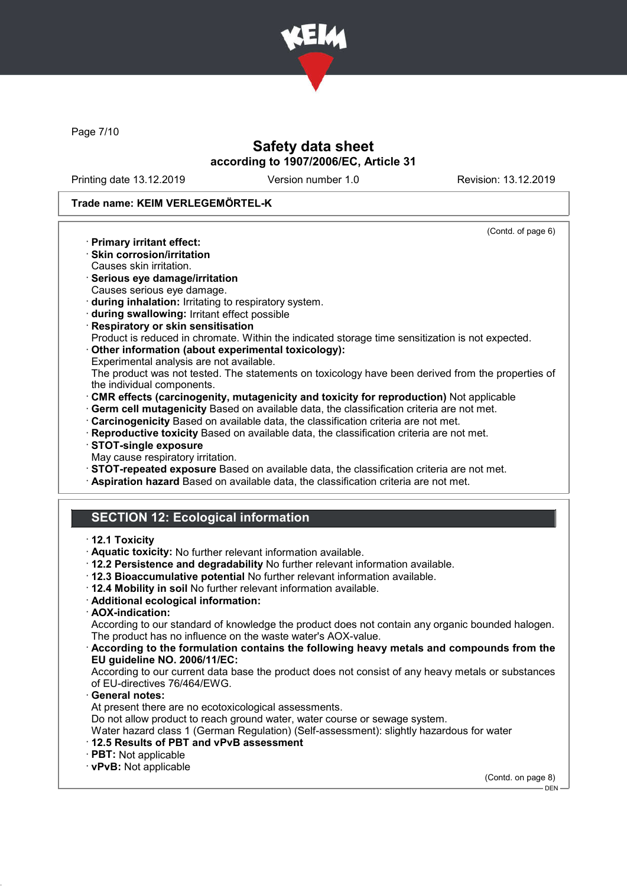

Page 7/10

# Safety data sheet according to 1907/2006/EC, Article 31

Printing date 13.12.2019 Version number 1.0 Revision: 13.12.2019

(Contd. of page 6)

### Trade name: KEIM VERLEGEMÖRTEL-K

- · Primary irritant effect:
- · Skin corrosion/irritation
- Causes skin irritation.
- · Serious eye damage/irritation Causes serious eye damage.
- · during inhalation: Irritating to respiratory system.
- · during swallowing: Irritant effect possible
- · Respiratory or skin sensitisation
- Product is reduced in chromate. Within the indicated storage time sensitization is not expected. · Other information (about experimental toxicology):
- Experimental analysis are not available.
- The product was not tested. The statements on toxicology have been derived from the properties of the individual components.
- · CMR effects (carcinogenity, mutagenicity and toxicity for reproduction) Not applicable
- · Germ cell mutagenicity Based on available data, the classification criteria are not met.
- · Carcinogenicity Based on available data, the classification criteria are not met.
- · Reproductive toxicity Based on available data, the classification criteria are not met.
- · STOT-single exposure
- May cause respiratory irritation.
- · STOT-repeated exposure Based on available data, the classification criteria are not met.
- · Aspiration hazard Based on available data, the classification criteria are not met.

# SECTION 12: Ecological information

#### · 12.1 Toxicity

- · Aquatic toxicity: No further relevant information available.
- · 12.2 Persistence and degradability No further relevant information available.
- · 12.3 Bioaccumulative potential No further relevant information available.
- · 12.4 Mobility in soil No further relevant information available.
- · Additional ecological information:
- · AOX-indication:

According to our standard of knowledge the product does not contain any organic bounded halogen. The product has no influence on the waste water's AOX-value.

#### · According to the formulation contains the following heavy metals and compounds from the EU guideline NO. 2006/11/EC:

According to our current data base the product does not consist of any heavy metals or substances of EU-directives 76/464/EWG.

General notes:

At present there are no ecotoxicological assessments.

Do not allow product to reach ground water, water course or sewage system.

Water hazard class 1 (German Regulation) (Self-assessment): slightly hazardous for water

- · 12.5 Results of PBT and vPvB assessment
- · PBT: Not applicable
- · vPvB: Not applicable

(Contd. on page 8)

 $-$  DEN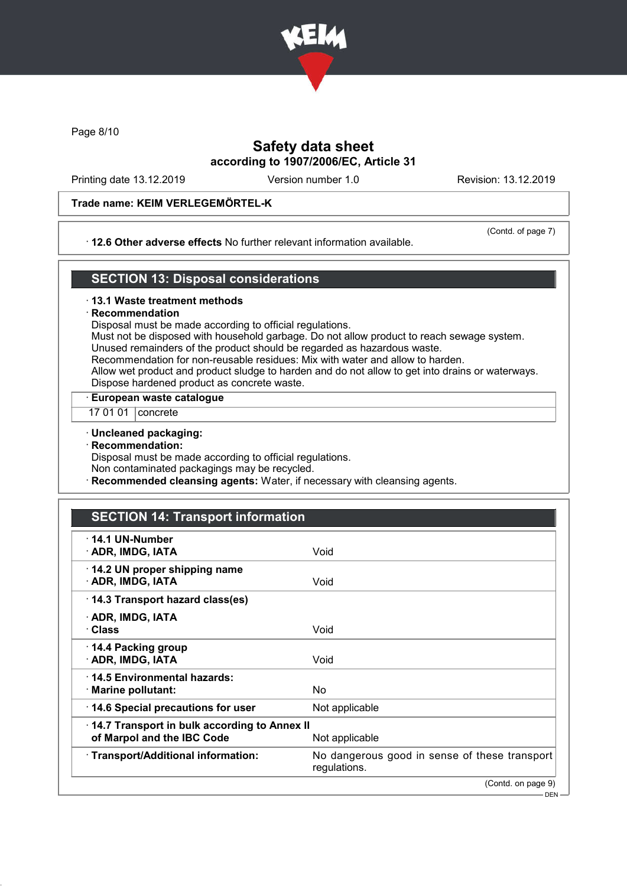

Page 8/10

# Safety data sheet according to 1907/2006/EC, Article 31

Printing date 13.12.2019 Version number 1.0 Revision: 13.12.2019

### Trade name: KEIM VERLEGEMÖRTEL-K

#### · 12.6 Other adverse effects No further relevant information available.

(Contd. of page 7)

### SECTION 13: Disposal considerations

#### · 13.1 Waste treatment methods

#### **Recommendation**

Disposal must be made according to official regulations.

Must not be disposed with household garbage. Do not allow product to reach sewage system. Unused remainders of the product should be regarded as hazardous waste.

Recommendation for non-reusable residues: Mix with water and allow to harden.

Allow wet product and product sludge to harden and do not allow to get into drains or waterways. Dispose hardened product as concrete waste.

#### · European waste catalogue

17 01 01 | concrete

#### · Uncleaned packaging:

· Recommendation:

Disposal must be made according to official regulations.

Non contaminated packagings may be recycled.

Recommended cleansing agents: Water, if necessary with cleansing agents.

# SECTION 14: Transport information

| · 14.1 UN-Number<br>· ADR, IMDG, IATA                                                        | Void                                                          |  |
|----------------------------------------------------------------------------------------------|---------------------------------------------------------------|--|
| 14.2 UN proper shipping name<br>· ADR, IMDG, IATA                                            | Void                                                          |  |
| 14.3 Transport hazard class(es)                                                              |                                                               |  |
| · ADR, IMDG, IATA<br>· Class                                                                 | Void                                                          |  |
| ⋅ 14.4 Packing group<br>· ADR, IMDG, IATA                                                    | Void                                                          |  |
| ⋅14.5 Environmental hazards:<br>· Marine pollutant:                                          | No                                                            |  |
| 14.6 Special precautions for user                                                            | Not applicable                                                |  |
| 14.7 Transport in bulk according to Annex II<br>of Marpol and the IBC Code<br>Not applicable |                                                               |  |
| · Transport/Additional information:                                                          | No dangerous good in sense of these transport<br>regulations. |  |
|                                                                                              | (Contd. on page 9)                                            |  |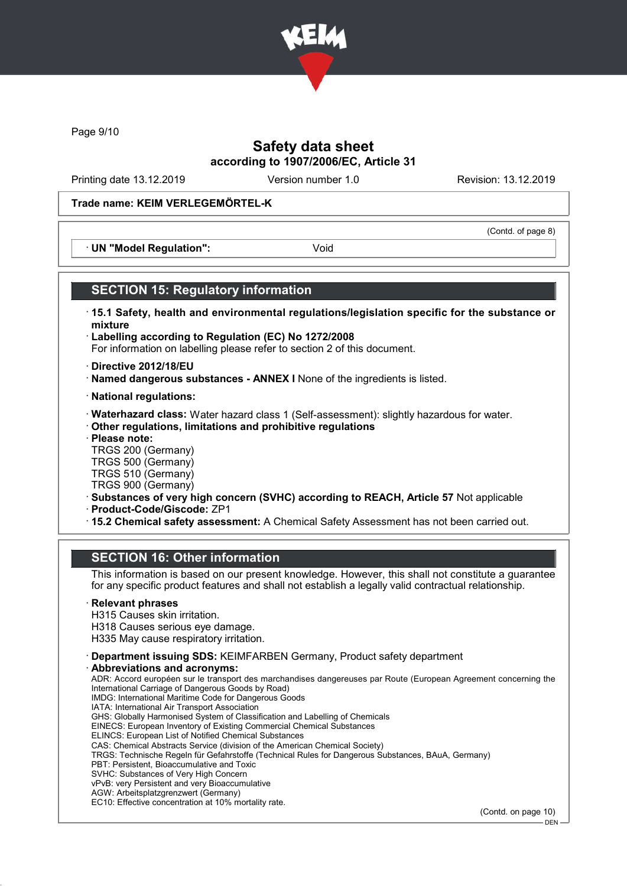

Page 9/10

## Safety data sheet according to 1907/2006/EC, Article 31

Printing date 13.12.2019 Version number 1.0 Revision: 13.12.2019

(Contd. of page 8)

### Trade name: KEIM VERLEGEMÖRTEL-K

· UN "Model Regulation": Void

### SECTION 15: Regulatory information

- · 15.1 Safety, health and environmental regulations/legislation specific for the substance or mixture
- · Labelling according to Regulation (EC) No 1272/2008 For information on labelling please refer to section 2 of this document.
- · Directive 2012/18/EU
- · Named dangerous substances ANNEX I None of the ingredients is listed.
- · National regulations:
- · Waterhazard class: Water hazard class 1 (Self-assessment): slightly hazardous for water.
- · Other regulations, limitations and prohibitive regulations
- · Please note:

TRGS 200 (Germany) TRGS 500 (Germany) TRGS 510 (Germany)

- TRGS 900 (Germany)
- · Substances of very high concern (SVHC) according to REACH, Article 57 Not applicable
- · Product-Code/Giscode: ZP1
- · 15.2 Chemical safety assessment: A Chemical Safety Assessment has not been carried out.

### SECTION 16: Other information

This information is based on our present knowledge. However, this shall not constitute a guarantee for any specific product features and shall not establish a legally valid contractual relationship.

#### **Relevant phrases**

H315 Causes skin irritation.

- H318 Causes serious eye damage.
- H335 May cause respiratory irritation.
- · Department issuing SDS: KEIMFARBEN Germany, Product safety department
- Abbreviations and acronyms:

ADR: Accord européen sur le transport des marchandises dangereuses par Route (European Agreement concerning the International Carriage of Dangerous Goods by Road) IMDG: International Maritime Code for Dangerous Goods IATA: International Air Transport Association GHS: Globally Harmonised System of Classification and Labelling of Chemicals EINECS: European Inventory of Existing Commercial Chemical Substances ELINCS: European List of Notified Chemical Substances CAS: Chemical Abstracts Service (division of the American Chemical Society) TRGS: Technische Regeln für Gefahrstoffe (Technical Rules for Dangerous Substances, BAuA, Germany) PBT: Persistent, Bioaccumulative and Toxic SVHC: Substances of Very High Concern vPvB: very Persistent and very Bioaccumulative AGW: Arbeitsplatzgrenzwert (Germany) EC10: Effective concentration at 10% mortality rate.

(Contd. on page 10)

DEN